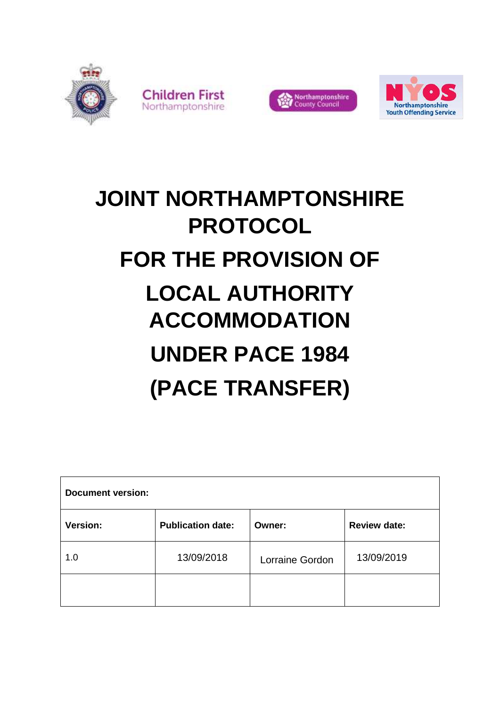





# **JOINT NORTHAMPTONSHIRE PROTOCOL FOR THE PROVISION OF LOCAL AUTHORITY ACCOMMODATION UNDER PACE 1984 (PACE TRANSFER)**

| <b>Document version:</b> |                          |                 |                     |  |
|--------------------------|--------------------------|-----------------|---------------------|--|
| Version:                 | <b>Publication date:</b> | Owner:          | <b>Review date:</b> |  |
| 1.0                      | 13/09/2018               | Lorraine Gordon | 13/09/2019          |  |
|                          |                          |                 |                     |  |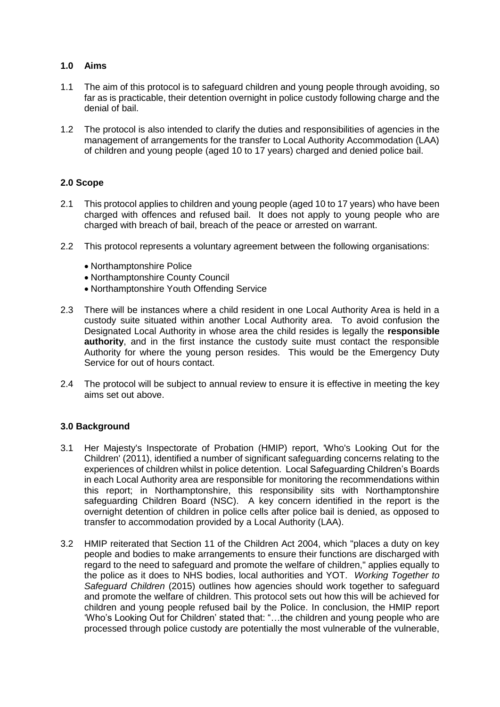## **1.0 Aims**

- 1.1 The aim of this protocol is to safeguard children and young people through avoiding, so far as is practicable, their detention overnight in police custody following charge and the denial of bail.
- 1.2 The protocol is also intended to clarify the duties and responsibilities of agencies in the management of arrangements for the transfer to Local Authority Accommodation (LAA) of children and young people (aged 10 to 17 years) charged and denied police bail.

## **2.0 Scope**

- 2.1 This protocol applies to children and young people (aged 10 to 17 years) who have been charged with offences and refused bail. It does not apply to young people who are charged with breach of bail, breach of the peace or arrested on warrant.
- 2.2 This protocol represents a voluntary agreement between the following organisations:
	- Northamptonshire Police
	- Northamptonshire County Council
	- Northamptonshire Youth Offending Service
- 2.3 There will be instances where a child resident in one Local Authority Area is held in a custody suite situated within another Local Authority area. To avoid confusion the Designated Local Authority in whose area the child resides is legally the **responsible authority**, and in the first instance the custody suite must contact the responsible Authority for where the young person resides. This would be the Emergency Duty Service for out of hours contact.
- 2.4 The protocol will be subject to annual review to ensure it is effective in meeting the key aims set out above.

## **3.0 Background**

- 3.1 Her Majesty's Inspectorate of Probation (HMIP) report, 'Who's Looking Out for the Children' (2011), identified a number of significant safeguarding concerns relating to the experiences of children whilst in police detention. Local Safeguarding Children's Boards in each Local Authority area are responsible for monitoring the recommendations within this report; in Northamptonshire, this responsibility sits with Northamptonshire safeguarding Children Board (NSC). A key concern identified in the report is the overnight detention of children in police cells after police bail is denied, as opposed to transfer to accommodation provided by a Local Authority (LAA).
- 3.2 HMIP reiterated that Section 11 of the Children Act 2004, which "places a duty on key people and bodies to make arrangements to ensure their functions are discharged with regard to the need to safeguard and promote the welfare of children," applies equally to the police as it does to NHS bodies, local authorities and YOT. *Working Together to Safeguard Children* (2015) outlines how agencies should work together to safeguard and promote the welfare of children. This protocol sets out how this will be achieved for children and young people refused bail by the Police. In conclusion, the HMIP report 'Who's Looking Out for Children' stated that: "…the children and young people who are processed through police custody are potentially the most vulnerable of the vulnerable,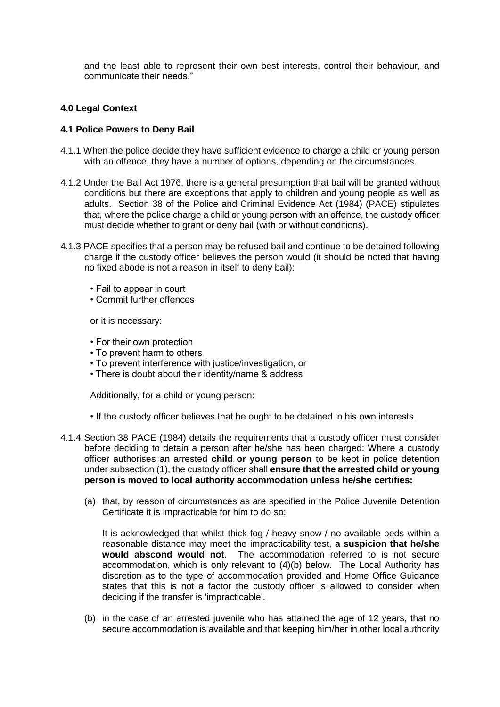and the least able to represent their own best interests, control their behaviour, and communicate their needs."

## **4.0 Legal Context**

### **4.1 Police Powers to Deny Bail**

- 4.1.1 When the police decide they have sufficient evidence to charge a child or young person with an offence, they have a number of options, depending on the circumstances.
- 4.1.2 Under the Bail Act 1976, there is a general presumption that bail will be granted without conditions but there are exceptions that apply to children and young people as well as adults. Section 38 of the Police and Criminal Evidence Act (1984) (PACE) stipulates that, where the police charge a child or young person with an offence, the custody officer must decide whether to grant or deny bail (with or without conditions).
- 4.1.3 PACE specifies that a person may be refused bail and continue to be detained following charge if the custody officer believes the person would (it should be noted that having no fixed abode is not a reason in itself to deny bail):
	- Fail to appear in court
	- Commit further offences

or it is necessary:

- For their own protection
- To prevent harm to others
- To prevent interference with justice/investigation, or
- There is doubt about their identity/name & address

Additionally, for a child or young person:

- If the custody officer believes that he ought to be detained in his own interests.
- 4.1.4 Section 38 PACE (1984) details the requirements that a custody officer must consider before deciding to detain a person after he/she has been charged: Where a custody officer authorises an arrested **child or young person** to be kept in police detention under subsection (1), the custody officer shall **ensure that the arrested child or young person is moved to local authority accommodation unless he/she certifies:**
	- (a) that, by reason of circumstances as are specified in the Police Juvenile Detention Certificate it is impracticable for him to do so;

It is acknowledged that whilst thick fog / heavy snow / no available beds within a reasonable distance may meet the impracticability test, **a suspicion that he/she would abscond would not**. The accommodation referred to is not secure accommodation, which is only relevant to (4)(b) below. The Local Authority has discretion as to the type of accommodation provided and Home Office Guidance states that this is not a factor the custody officer is allowed to consider when deciding if the transfer is 'impracticable'.

(b) in the case of an arrested juvenile who has attained the age of 12 years, that no secure accommodation is available and that keeping him/her in other local authority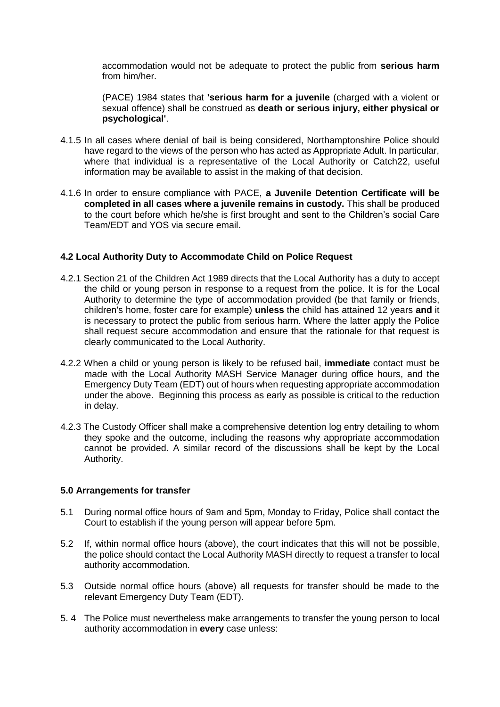accommodation would not be adequate to protect the public from **serious harm**  from him/her.

(PACE) 1984 states that **'serious harm for a juvenile** (charged with a violent or sexual offence) shall be construed as **death or serious injury, either physical or psychological'**.

- 4.1.5 In all cases where denial of bail is being considered, Northamptonshire Police should have regard to the views of the person who has acted as Appropriate Adult. In particular, where that individual is a representative of the Local Authority or Catch22, useful information may be available to assist in the making of that decision.
- 4.1.6 In order to ensure compliance with PACE, **a Juvenile Detention Certificate will be completed in all cases where a juvenile remains in custody.** This shall be produced to the court before which he/she is first brought and sent to the Children's social Care Team/EDT and YOS via secure email.

## **4.2 Local Authority Duty to Accommodate Child on Police Request**

- 4.2.1 Section 21 of the Children Act 1989 directs that the Local Authority has a duty to accept the child or young person in response to a request from the police. It is for the Local Authority to determine the type of accommodation provided (be that family or friends, children's home, foster care for example) **unless** the child has attained 12 years **and** it is necessary to protect the public from serious harm. Where the latter apply the Police shall request secure accommodation and ensure that the rationale for that request is clearly communicated to the Local Authority.
- 4.2.2 When a child or young person is likely to be refused bail, **immediate** contact must be made with the Local Authority MASH Service Manager during office hours, and the Emergency Duty Team (EDT) out of hours when requesting appropriate accommodation under the above. Beginning this process as early as possible is critical to the reduction in delay.
- 4.2.3 The Custody Officer shall make a comprehensive detention log entry detailing to whom they spoke and the outcome, including the reasons why appropriate accommodation cannot be provided. A similar record of the discussions shall be kept by the Local Authority.

## **5.0 Arrangements for transfer**

- 5.1 During normal office hours of 9am and 5pm, Monday to Friday, Police shall contact the Court to establish if the young person will appear before 5pm.
- 5.2 If, within normal office hours (above), the court indicates that this will not be possible, the police should contact the Local Authority MASH directly to request a transfer to local authority accommodation.
- 5.3 Outside normal office hours (above) all requests for transfer should be made to the relevant Emergency Duty Team (EDT).
- 5. 4 The Police must nevertheless make arrangements to transfer the young person to local authority accommodation in **every** case unless: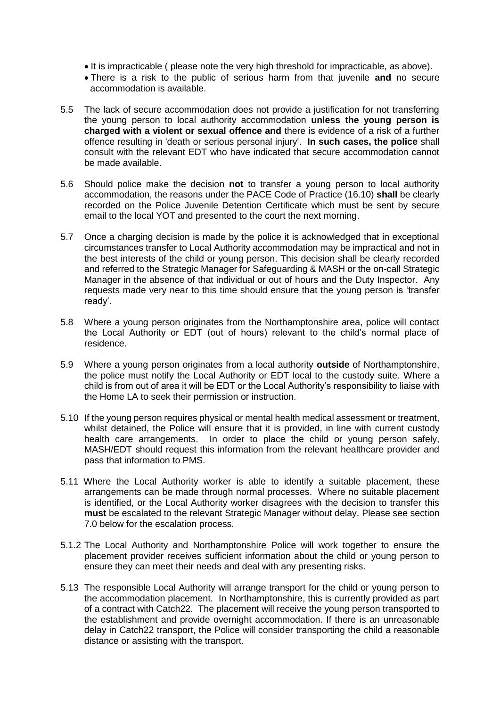- It is impracticable ( please note the very high threshold for impracticable, as above).
- There is a risk to the public of serious harm from that juvenile **and** no secure accommodation is available.
- 5.5 The lack of secure accommodation does not provide a justification for not transferring the young person to local authority accommodation **unless the young person is charged with a violent or sexual offence and** there is evidence of a risk of a further offence resulting in 'death or serious personal injury'. **In such cases, the police** shall consult with the relevant EDT who have indicated that secure accommodation cannot be made available.
- 5.6 Should police make the decision **not** to transfer a young person to local authority accommodation, the reasons under the PACE Code of Practice (16.10) **shall** be clearly recorded on the Police Juvenile Detention Certificate which must be sent by secure email to the local YOT and presented to the court the next morning.
- 5.7 Once a charging decision is made by the police it is acknowledged that in exceptional circumstances transfer to Local Authority accommodation may be impractical and not in the best interests of the child or young person. This decision shall be clearly recorded and referred to the Strategic Manager for Safeguarding & MASH or the on-call Strategic Manager in the absence of that individual or out of hours and the Duty Inspector. Any requests made very near to this time should ensure that the young person is 'transfer ready'.
- 5.8 Where a young person originates from the Northamptonshire area, police will contact the Local Authority or EDT (out of hours) relevant to the child's normal place of residence.
- 5.9 Where a young person originates from a local authority **outside** of Northamptonshire, the police must notify the Local Authority or EDT local to the custody suite. Where a child is from out of area it will be EDT or the Local Authority's responsibility to liaise with the Home LA to seek their permission or instruction.
- 5.10 If the young person requires physical or mental health medical assessment or treatment, whilst detained, the Police will ensure that it is provided, in line with current custody health care arrangements. In order to place the child or young person safely, MASH/EDT should request this information from the relevant healthcare provider and pass that information to PMS.
- 5.11 Where the Local Authority worker is able to identify a suitable placement, these arrangements can be made through normal processes. Where no suitable placement is identified, or the Local Authority worker disagrees with the decision to transfer this **must** be escalated to the relevant Strategic Manager without delay. Please see section 7.0 below for the escalation process.
- 5.1.2 The Local Authority and Northamptonshire Police will work together to ensure the placement provider receives sufficient information about the child or young person to ensure they can meet their needs and deal with any presenting risks.
- 5.13 The responsible Local Authority will arrange transport for the child or young person to the accommodation placement. In Northamptonshire, this is currently provided as part of a contract with Catch22. The placement will receive the young person transported to the establishment and provide overnight accommodation. If there is an unreasonable delay in Catch22 transport, the Police will consider transporting the child a reasonable distance or assisting with the transport.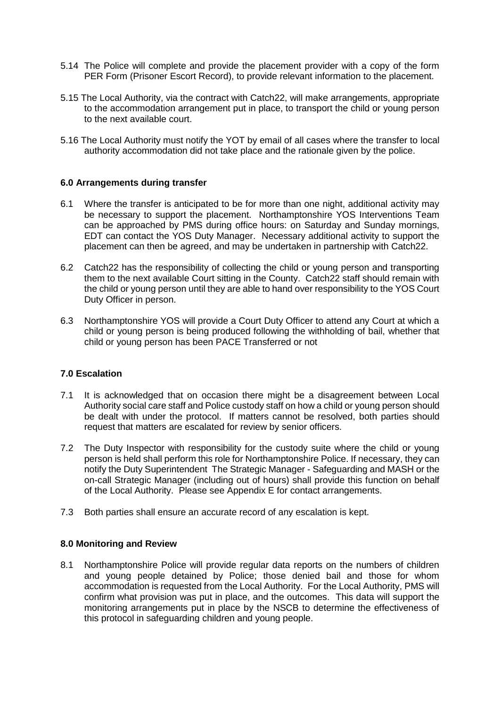- 5.14 The Police will complete and provide the placement provider with a copy of the form PER Form (Prisoner Escort Record), to provide relevant information to the placement.
- 5.15 The Local Authority, via the contract with Catch22, will make arrangements, appropriate to the accommodation arrangement put in place, to transport the child or young person to the next available court.
- 5.16 The Local Authority must notify the YOT by email of all cases where the transfer to local authority accommodation did not take place and the rationale given by the police.

## **6.0 Arrangements during transfer**

- 6.1 Where the transfer is anticipated to be for more than one night, additional activity may be necessary to support the placement. Northamptonshire YOS Interventions Team can be approached by PMS during office hours: on Saturday and Sunday mornings, EDT can contact the YOS Duty Manager. Necessary additional activity to support the placement can then be agreed, and may be undertaken in partnership with Catch22.
- 6.2 Catch22 has the responsibility of collecting the child or young person and transporting them to the next available Court sitting in the County. Catch22 staff should remain with the child or young person until they are able to hand over responsibility to the YOS Court Duty Officer in person.
- 6.3 Northamptonshire YOS will provide a Court Duty Officer to attend any Court at which a child or young person is being produced following the withholding of bail, whether that child or young person has been PACE Transferred or not

## **7.0 Escalation**

- 7.1 It is acknowledged that on occasion there might be a disagreement between Local Authority social care staff and Police custody staff on how a child or young person should be dealt with under the protocol. If matters cannot be resolved, both parties should request that matters are escalated for review by senior officers.
- 7.2 The Duty Inspector with responsibility for the custody suite where the child or young person is held shall perform this role for Northamptonshire Police. If necessary, they can notify the Duty Superintendent The Strategic Manager - Safeguarding and MASH or the on-call Strategic Manager (including out of hours) shall provide this function on behalf of the Local Authority. Please see Appendix E for contact arrangements.
- 7.3 Both parties shall ensure an accurate record of any escalation is kept.

#### **8.0 Monitoring and Review**

8.1 Northamptonshire Police will provide regular data reports on the numbers of children and young people detained by Police; those denied bail and those for whom accommodation is requested from the Local Authority. For the Local Authority, PMS will confirm what provision was put in place, and the outcomes. This data will support the monitoring arrangements put in place by the NSCB to determine the effectiveness of this protocol in safeguarding children and young people.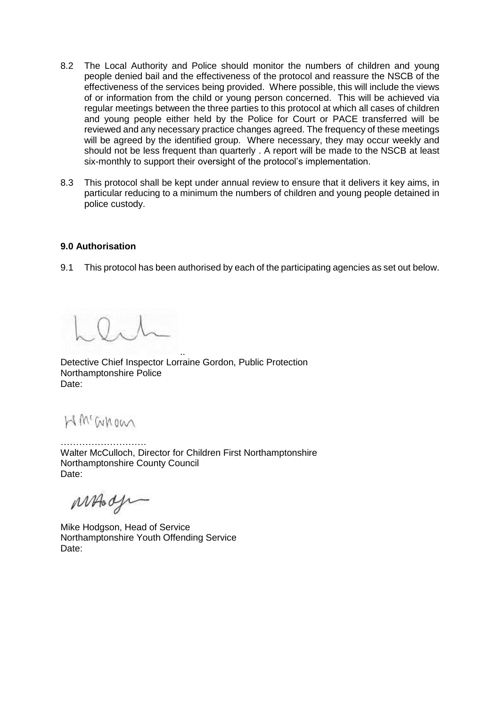- 8.2 The Local Authority and Police should monitor the numbers of children and young people denied bail and the effectiveness of the protocol and reassure the NSCB of the effectiveness of the services being provided. Where possible, this will include the views of or information from the child or young person concerned. This will be achieved via regular meetings between the three parties to this protocol at which all cases of children and young people either held by the Police for Court or PACE transferred will be reviewed and any necessary practice changes agreed. The frequency of these meetings will be agreed by the identified group. Where necessary, they may occur weekly and should not be less frequent than quarterly . A report will be made to the NSCB at least six-monthly to support their oversight of the protocol's implementation.
- 8.3 This protocol shall be kept under annual review to ensure that it delivers it key aims, in particular reducing to a minimum the numbers of children and young people detained in police custody.

## **9.0 Authorisation**

9.1 This protocol has been authorised by each of the participating agencies as set out below.

Detective Chief Inspector Lorraine Gordon, Public Protection Northamptonshire Police Date:

..

W'anoan

………………………. Walter McCulloch, Director for Children First Northamptonshire Northamptonshire County Council Date:

MAGde

Mike Hodgson, Head of Service Northamptonshire Youth Offending Service Date: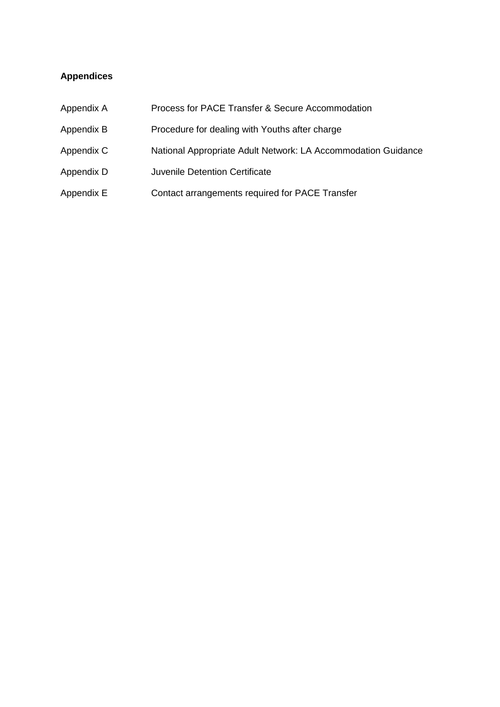## **Appendices**

| Appendix A | Process for PACE Transfer & Secure Accommodation              |
|------------|---------------------------------------------------------------|
| Appendix B | Procedure for dealing with Youths after charge                |
| Appendix C | National Appropriate Adult Network: LA Accommodation Guidance |
| Appendix D | <b>Juvenile Detention Certificate</b>                         |
| Appendix E | Contact arrangements required for PACE Transfer               |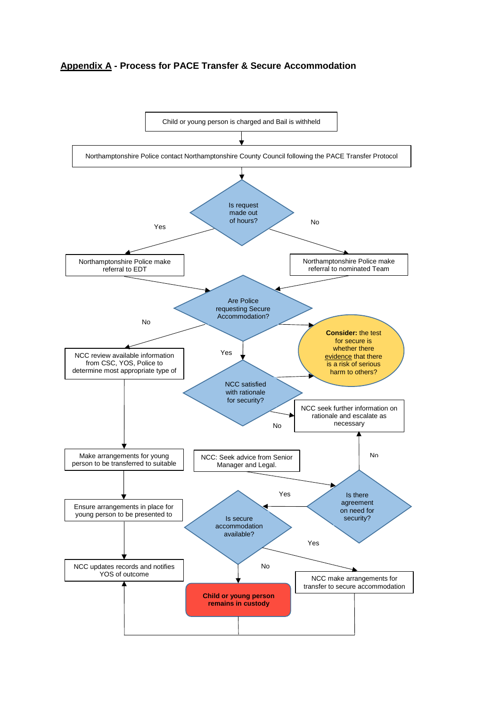## **Appendix A - Process for PACE Transfer & Secure Accommodation**

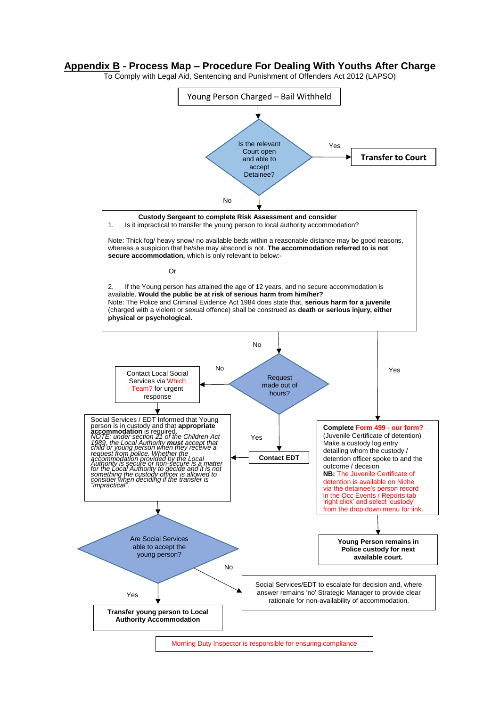#### **Appendix B - Process Map – Procedure For Dealing With Youths After Charge**

To Comply with Legal Aid, Sentencing and Punishment of Offenders Act 2012 (LAPSO)



Morning Duty Inspector is responsible for ensuring compliance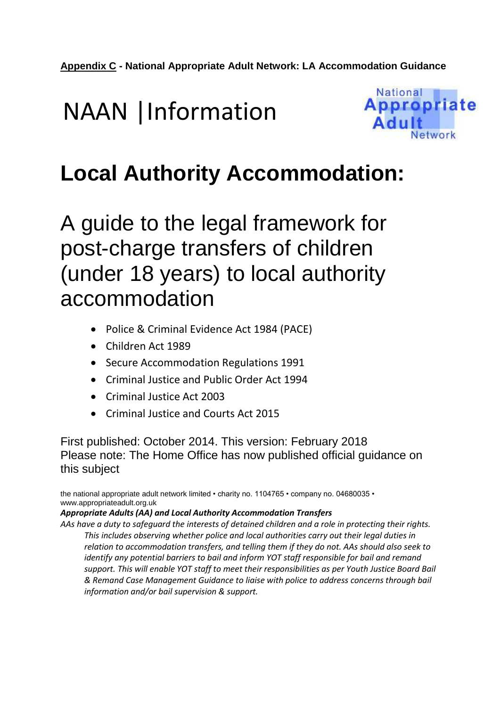## NAAN |Information



## **Local Authority Accommodation:**

A guide to the legal framework for post-charge transfers of children (under 18 years) to local authority accommodation

- Police & Criminal Evidence Act 1984 (PACE)
- Children Act 1989
- Secure Accommodation Regulations 1991
- Criminal Justice and Public Order Act 1994
- Criminal Justice Act 2003
- Criminal Justice and Courts Act 2015

First published: October 2014. This version: February 2018 Please note: The Home Office has now published official guidance on this subject

the national appropriate adult network limited • charity no. 1104765 • company no. 04680035 • www.appropriateadult.org.uk

## *Appropriate Adults (AA) and Local Authority Accommodation Transfers*

*AAs have a duty to safeguard the interests of detained children and a role in protecting their rights. This includes observing whether police and local authorities carry out their legal duties in relation to accommodation transfers, and telling them if they do not. AAs should also seek to identify any potential barriers to bail and inform YOT staff responsible for bail and remand support. This will enable YOT staff to meet their responsibilities as per Youth Justice Board Bail & Remand Case Management Guidance to liaise with police to address concerns through bail information and/or bail supervision & support.*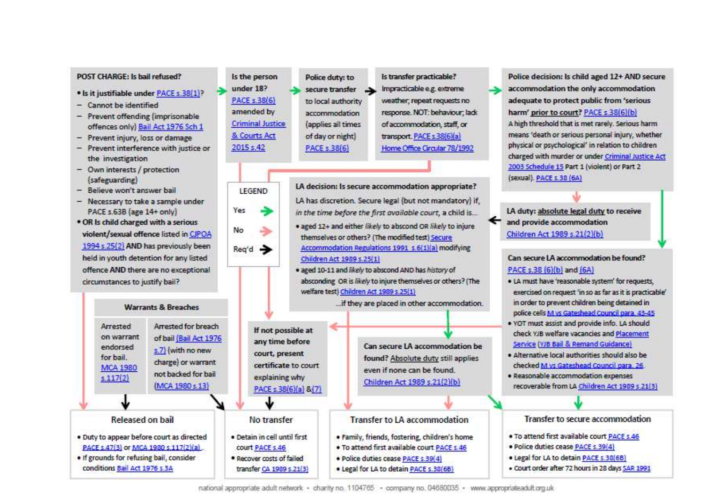#### POST CHARGE: Is hail refused?

- · Is it justifiable under PACE s.38(1)?
- Cannot be identified
- Prevent offending (imprisonable offences only) Bail Act 1976 Sch 1
- Prevent injury, loss or damage
- Prevent interference with justice or the investigation
- Own interests / protection (safeguarding)
- Believe won't answer bail

Arrested

on warrant

endorsed

**MCA 1980** 

Released on hail

· Duty to appear before court as directed

PACE s.47(3) or MCA 1980 s.117(2)(a).

. If grounds for refusing bail, consider

conditions Bail Act 1976 s.3A

for bail.

 $s.117(2)$ 

- Necessary to take a sample under PACE s.63B (age 14+ only)
- . OR Is child charged with a serious violent/sexual offence listed in CJPOA 1994 s.25(2) AND has previously been held in youth detention for any listed offence AND there are no exceptional circumstances to justify bail?

**Warrants & Breaches** 

Arrested for breach

of bail (Bail Act 1976)

s.7) (with no new

charge) or warrant

not backed for bail

(MCA 1980 s.13)







LA decision: Is secure accommodation appropriate? LA has discretion. Secure legal (but not mandatory) if. in the time before the first available court, a child is...

- . aged 12+ and either likely to abscond OR likely to injure themselves or others? (The modified test) Secure Accommodation Regulations 1991 s.6(1)(a) modifying Children Act 1989 s.25(1)
- · aged 10-11 and likely to abscond AND has history of absconding OR is likely to injure themselves or others? (The welfare test) Children Act 1989 s.25(1)

... if they are placed in other accommodation.

Is transfer practicable?

Impracticable e.g. extreme

weather; repeat requests no

of accommodation, staff, or

Home Office Circular 78/1992

transport. PACE s.38(6)(a)

response. NOT: behaviour; lad:

If not possible at any time before court, present certificate to court explaining why PACE s.38(6)(a) &(7)

No transfer



**Can secure LA accommodation be** 

found? Absolute duty still applies even if none can be found. Children Act 1989 s.21(2)(b)

Transfer to LA accommodation

- · Family, friends, fostering, children's home
- . To attend first available court PACE s.46
- · Police duties cease PACE s.39(4)
- . Legal for LA to detain PACE s.38(6B)

Police decision: Is child aged 12+ AND secure accommodation the only accommodation adequate to protect public from 'serious harm' prior to court? PACE s.38(6)(b). A high threshold that is met rarely. Serious harm means 'death or serious personal injury, whether physical or psychological' in relation to children charged with murder or under Criminal Justice Act 2003 Schedule 15 Part 1 (violent) or Part 2 (sexual). PACE s.38 (6A)

LA duty: absolute legal duty to receive and provide accommodation Children Act 1989 s.21(2)(b)

#### Can secure LA accommodation be found? PACE s.38 (6)(b) and (6A)

- . LA must have 'reasonable system' for requests. exercised on request 'in so as far as it is practicable' in order to prevent children being detained in police cells M vs Gateshead Council para, 43-45
- . YOT must assist and provide info. LA should check YJB welfare vacancies and Placement Service (YJB Bail & Remand Guidance)
- · Alternative local authorities should also be checked M vs Gateshead Council para 26
- · Reasonable accommodation expenses recoverable from LA Children Act 1989 s.21(3)

#### Transfer to secure accommodation

- . To attend first available court PACE s.46
- · Police duties cease PACE s.39(4)
- · Legal for LA to detain PACE s.38(6B)
- . Court order after 72 hours in 28 days 5AR 1991

national appropriate adult network · charity no. 1104765 · company no. 04680035 · www.appropriateadult.org.uk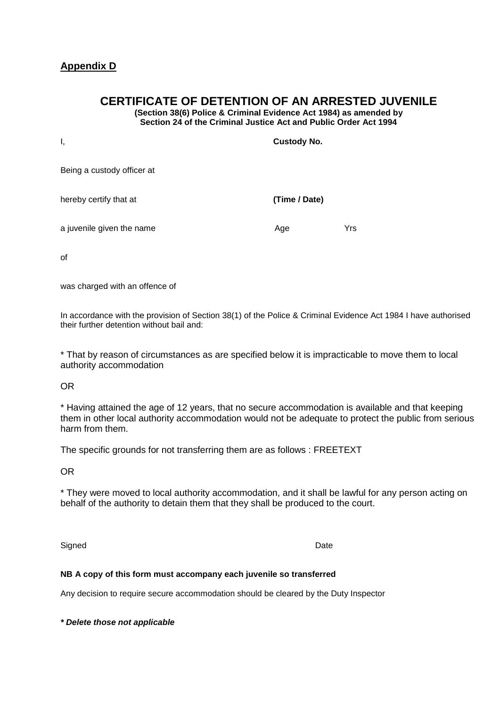## **Appendix D**

## **CERTIFICATE OF DETENTION OF AN ARRESTED JUVENILE**

**(Section 38(6) Police & Criminal Evidence Act 1984) as amended by Section 24 of the Criminal Justice Act and Public Order Act 1994**

| Ι,                         | <b>Custody No.</b> |     |
|----------------------------|--------------------|-----|
| Being a custody officer at |                    |     |
| hereby certify that at     | (Time / Date)      |     |
| a juvenile given the name  | Age                | Yrs |

of

was charged with an offence of

In accordance with the provision of Section 38(1) of the Police & Criminal Evidence Act 1984 I have authorised their further detention without bail and:

\* That by reason of circumstances as are specified below it is impracticable to move them to local authority accommodation

OR

\* Having attained the age of 12 years, that no secure accommodation is available and that keeping them in other local authority accommodation would not be adequate to protect the public from serious harm from them.

The specific grounds for not transferring them are as follows : FREETEXT

OR

\* They were moved to local authority accommodation, and it shall be lawful for any person acting on behalf of the authority to detain them that they shall be produced to the court.

Signed Date **Date** 

#### **NB A copy of this form must accompany each juvenile so transferred**

Any decision to require secure accommodation should be cleared by the Duty Inspector

*\* Delete those not applicable*